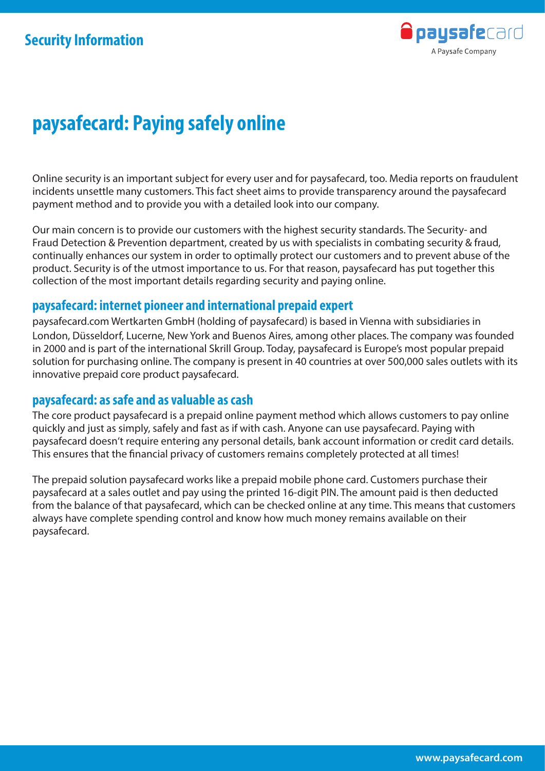

Online security is an important subject for every user and for paysafecard, too. Media reports on fraudulent incidents unsettle many customers. This fact sheet aims to provide transparency around the paysafecard payment method and to provide you with a detailed look into our company.

Our main concern is to provide our customers with the highest security standards. The Security- and Fraud Detection & Prevention department, created by us with specialists in combating security & fraud, continually enhances our system in order to optimally protect our customers and to prevent abuse of the product. Security is of the utmost importance to us. For that reason, paysafecard has put together this collection of the most important details regarding security and paying online.

#### **paysafecard: internet pioneer and international prepaid expert**

paysafecard.com Wertkarten GmbH (holding of paysafecard) is based in Vienna with subsidiaries in London, Düsseldorf, Lucerne, New York and Buenos Aires, among other places. The company was founded in 2000 and is part of the international Skrill Group. Today, paysafecard is Europe's most popular prepaid solution for purchasing online. The company is present in 40 countries at over 500,000 sales outlets with its innovative prepaid core product paysafecard.

#### **paysafecard: as safe and as valuable as cash**

The core product paysafecard is a prepaid online payment method which allows customers to pay online quickly and just as simply, safely and fast as if with cash. Anyone can use paysafecard. Paying with paysafecard doesn't require entering any personal details, bank account information or credit card details. This ensures that the financial privacy of customers remains completely protected at all times!

The prepaid solution paysafecard works like a prepaid mobile phone card. Customers purchase their paysafecard at a sales outlet and pay using the printed 16-digit PIN. The amount paid is then deducted from the balance of that paysafecard, which can be checked online at any time. This means that customers always have complete spending control and know how much money remains available on their paysafecard.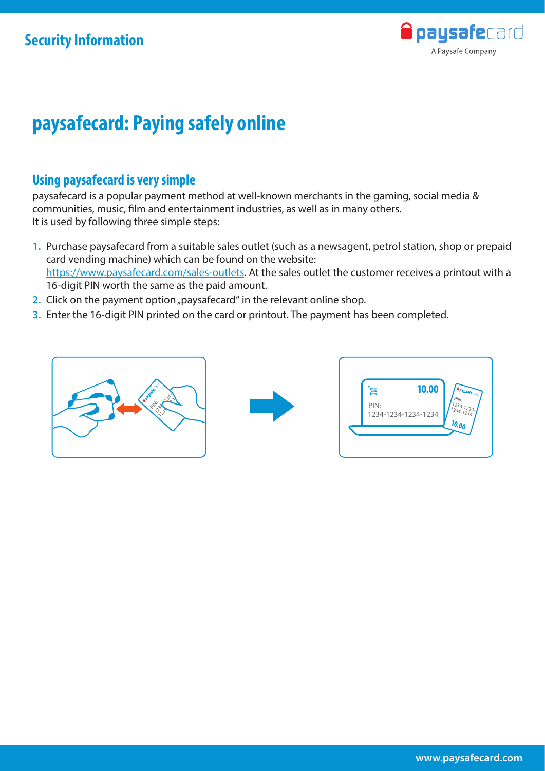

### **Using paysafecard is very simple**

paysafecard is a popular payment method at well-known merchants in the gaming, social media & communities, music, film and entertainment industries, as well as in many others. It is used by following three simple steps:

- **1.** Purchase paysafecard from a suitable sales outlet (such as a newsagent, petrol station, shop or prepaid card vending machine) which can be found on the website: https://www.paysafecard.com/sales-outlets. At the sales outlet the customer receives a printout with a 16-digit PIN worth the same as the paid amount.
- **2.** Click on the payment option "paysafecard" in the relevant online shop.
- **3.** Enter the 16-digit PIN printed on the card or printout. The payment has been completed.





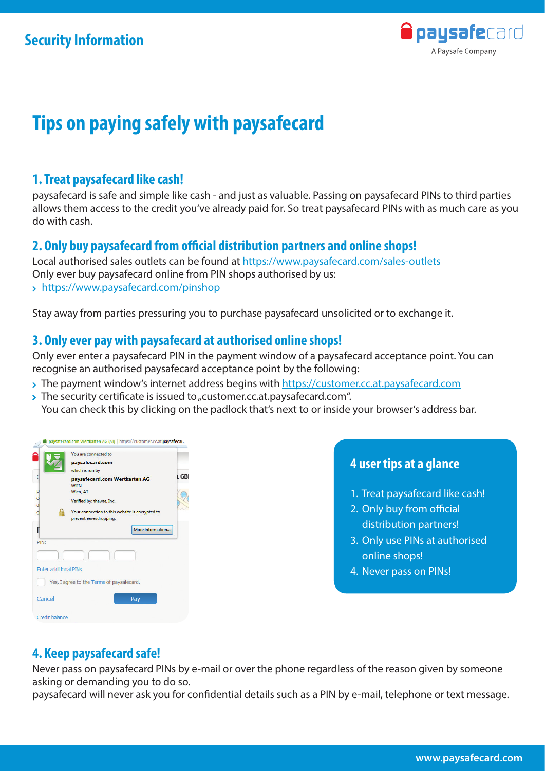

## **Tips on paying safely with paysafecard**

#### **1. Treat paysafecard like cash!**

paysafecard is safe and simple like cash - and just as valuable. Passing on paysafecard PINs to third parties allows them access to the credit you've already paid for. So treat paysafecard PINs with as much care as you do with cash.

#### **2. Only buy paysafecard from official distribution partners and online shops!**

Local authorised sales outlets can be found at https://www.paysafecard.com/sales-outlets Only ever buy paysafecard online from PIN shops authorised by us: https://www.paysafecard.com/pinshop

Stay away from parties pressuring you to purchase paysafecard unsolicited or to exchange it.

#### **3. Only ever pay with paysafecard at authorised online shops!**

Only ever enter a paysafecard PIN in the payment window of a paysafecard acceptance point. You can recognise an authorised paysafecard acceptance point by the following:

- > The payment window's internet address begins with https://customer.cc.at.paysafecard.com
- $\rightarrow$  The security certificate is issued to "customer.cc.at.paysafecard.com". You can check this by clicking on the padlock that's next to or inside your browser's address bar.



#### **4 user tips at a glance**

- 1. Treat paysafecard like cash!
- 2. Only buy from official distribution partners!
- 3. Only use PINs at authorised online shops!
- 4. Never pass on PINs!

#### **4. Keep paysafecard safe!**

Never pass on paysafecard PINs by e-mail or over the phone regardless of the reason given by someone asking or demanding you to do so.

paysafecard will never ask you for confidential details such as a PIN by e-mail, telephone or text message.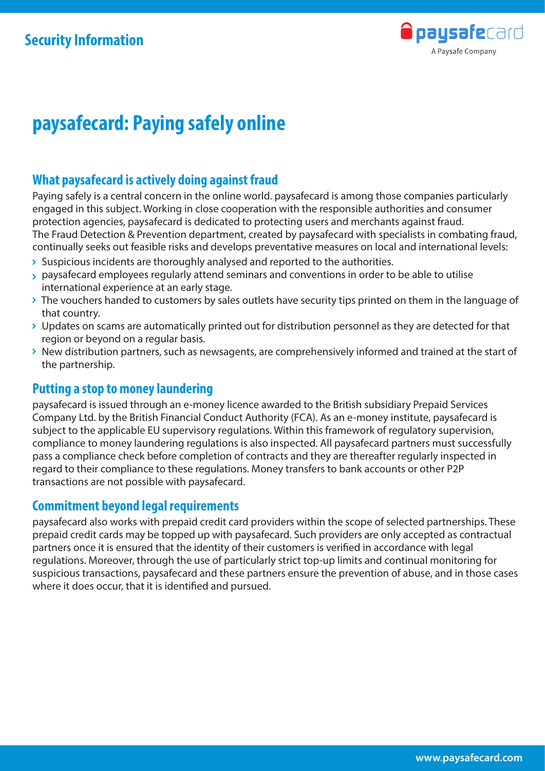

### **What paysafecard is actively doing against fraud**

Paying safely is a central concern in the online world. paysafecard is among those companies particularly engaged in this subject. Working in close cooperation with the responsible authorities and consumer protection agencies, paysafecard is dedicated to protecting users and merchants against fraud. The Fraud Detection & Prevention department, created by paysafecard with specialists in combating fraud, continually seeks out feasible risks and develops preventative measures on local and international levels:

- $\rightarrow$  Suspicious incidents are thoroughly analysed and reported to the authorities.
- paysafecard employees regularly attend seminars and conventions in order to be able to utilise international experience at an early stage.
- > The vouchers handed to customers by sales outlets have security tips printed on them in the language of that country.
- Updates on scams are automatically printed out for distribution personnel as they are detected for that region or beyond on a regular basis.
- New distribution partners, such as newsagents, are comprehensively informed and trained at the start of the partnership.

#### **Putting a stop to money laundering**

paysafecard is issued through an e-money licence awarded to the British subsidiary Prepaid Services Company Ltd. by the British Financial Conduct Authority (FCA). As an e-money institute, paysafecard is subject to the applicable EU supervisory regulations. Within this framework of regulatory supervision, compliance to money laundering regulations is also inspected. All paysafecard partners must successfully pass a compliance check before completion of contracts and they are thereafter regularly inspected in regard to their compliance to these regulations. Money transfers to bank accounts or other P2P transactions are not possible with paysafecard.

#### **Commitment beyond legal requirements**

paysafecard also works with prepaid credit card providers within the scope of selected partnerships. These prepaid credit cards may be topped up with paysafecard. Such providers are only accepted as contractual partners once it is ensured that the identity of their customers is verified in accordance with legal regulations. Moreover, through the use of particularly strict top-up limits and continual monitoring for suspicious transactions, paysafecard and these partners ensure the prevention of abuse, and in those cases where it does occur, that it is identified and pursued.